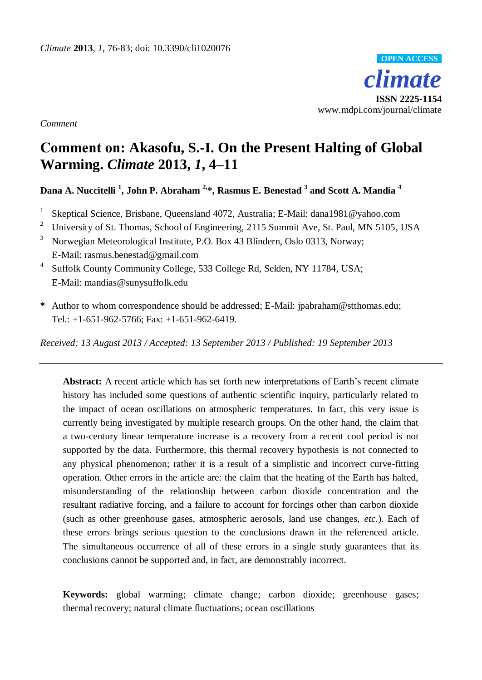

*Comment*

# **Comment on: Akasofu, S.-I. On the Present Halting of Global Warming.** *Climate* **2013,** *1***, 4–11**

**Dana A. Nuccitelli <sup>1</sup> , John P. Abraham 2, \*, Rasmus E. Benestad <sup>3</sup> and Scott A. Mandia <sup>4</sup>**

- 1 Skeptical Science, Brisbane, Queensland 4072, Australia; E-Mail: dana1981@yahoo.com
- <sup>2</sup> University of St. Thomas, School of Engineering, 2115 Summit Ave, St. Paul, MN 5105, USA
- <sup>3</sup> Norwegian Meteorological Institute, P.O. Box 43 Blindern, Oslo 0313, Norway; E-Mail: rasmus.benestad@gmail.com
- 4 Suffolk County Community College, 533 College Rd, Selden, NY 11784, USA; E-Mail: mandias@sunysuffolk.edu
- **\*** Author to whom correspondence should be addressed; E-Mail: jpabraham@stthomas.edu; Tel.: +1-651-962-5766; Fax: +1-651-962-6419.

*Received: 13 August 2013 / Accepted: 13 September 2013 / Published: 19 September 2013*

**Abstract:** A recent article which has set forth new interpretations of Earth's recent climate history has included some questions of authentic scientific inquiry, particularly related to the impact of ocean oscillations on atmospheric temperatures. In fact, this very issue is currently being investigated by multiple research groups. On the other hand, the claim that a two-century linear temperature increase is a recovery from a recent cool period is not supported by the data. Furthermore, this thermal recovery hypothesis is not connected to any physical phenomenon; rather it is a result of a simplistic and incorrect curve-fitting operation. Other errors in the article are: the claim that the heating of the Earth has halted, misunderstanding of the relationship between carbon dioxide concentration and the resultant radiative forcing, and a failure to account for forcings other than carbon dioxide (such as other greenhouse gases, atmospheric aerosols, land use changes, *etc*.). Each of these errors brings serious question to the conclusions drawn in the referenced article. The simultaneous occurrence of all of these errors in a single study guarantees that its conclusions cannot be supported and, in fact, are demonstrably incorrect.

**Keywords:** global warming; climate change; carbon dioxide; greenhouse gases; thermal recovery; natural climate fluctuations; ocean oscillations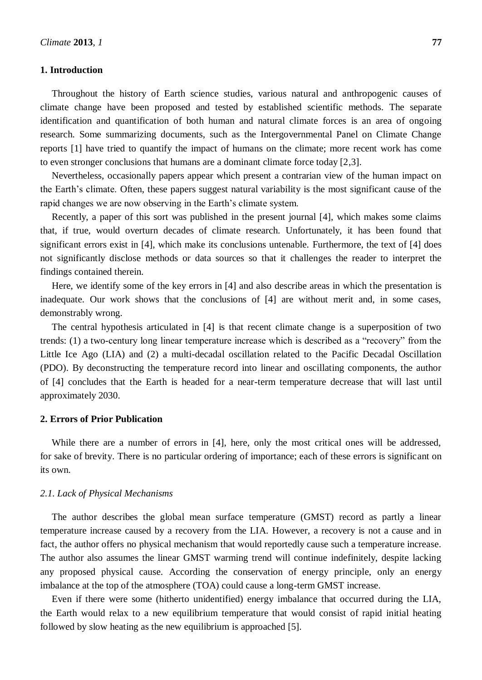# **1. Introduction**

Throughout the history of Earth science studies, various natural and anthropogenic causes of climate change have been proposed and tested by established scientific methods. The separate identification and quantification of both human and natural climate forces is an area of ongoing research. Some summarizing documents, such as the Intergovernmental Panel on Climate Change reports [1] have tried to quantify the impact of humans on the climate; more recent work has come to even stronger conclusions that humans are a dominant climate force today [2,3].

Nevertheless, occasionally papers appear which present a contrarian view of the human impact on the Earth's climate. Often, these papers suggest natural variability is the most significant cause of the rapid changes we are now observing in the Earth's climate system.

Recently, a paper of this sort was published in the present journal [4], which makes some claims that, if true, would overturn decades of climate research. Unfortunately, it has been found that significant errors exist in [4], which make its conclusions untenable. Furthermore, the text of [4] does not significantly disclose methods or data sources so that it challenges the reader to interpret the findings contained therein.

Here, we identify some of the key errors in [4] and also describe areas in which the presentation is inadequate. Our work shows that the conclusions of [4] are without merit and, in some cases, demonstrably wrong.

The central hypothesis articulated in [4] is that recent climate change is a superposition of two trends: (1) a two-century long linear temperature increase which is described as a "recovery" from the Little Ice Ago (LIA) and (2) a multi-decadal oscillation related to the Pacific Decadal Oscillation (PDO). By deconstructing the temperature record into linear and oscillating components, the author of [4] concludes that the Earth is headed for a near-term temperature decrease that will last until approximately 2030.

# **2. Errors of Prior Publication**

While there are a number of errors in [4], here, only the most critical ones will be addressed, for sake of brevity. There is no particular ordering of importance; each of these errors is significant on its own.

#### *2.1. Lack of Physical Mechanisms*

The author describes the global mean surface temperature (GMST) record as partly a linear temperature increase caused by a recovery from the LIA. However, a recovery is not a cause and in fact, the author offers no physical mechanism that would reportedly cause such a temperature increase. The author also assumes the linear GMST warming trend will continue indefinitely, despite lacking any proposed physical cause. According the conservation of energy principle, only an energy imbalance at the top of the atmosphere (TOA) could cause a long-term GMST increase.

Even if there were some (hitherto unidentified) energy imbalance that occurred during the LIA, the Earth would relax to a new equilibrium temperature that would consist of rapid initial heating followed by slow heating as the new equilibrium is approached [5].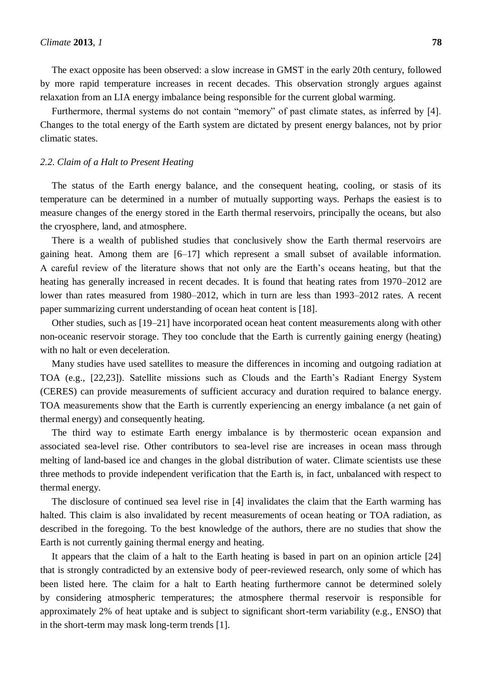The exact opposite has been observed: a slow increase in GMST in the early 20th century, followed by more rapid temperature increases in recent decades. This observation strongly argues against relaxation from an LIA energy imbalance being responsible for the current global warming.

Furthermore, thermal systems do not contain "memory" of past climate states, as inferred by [4]. Changes to the total energy of the Earth system are dictated by present energy balances, not by prior climatic states.

#### *2.2. Claim of a Halt to Present Heating*

The status of the Earth energy balance, and the consequent heating, cooling, or stasis of its temperature can be determined in a number of mutually supporting ways. Perhaps the easiest is to measure changes of the energy stored in the Earth thermal reservoirs, principally the oceans, but also the cryosphere, land, and atmosphere.

There is a wealth of published studies that conclusively show the Earth thermal reservoirs are gaining heat. Among them are [6–17] which represent a small subset of available information. A careful review of the literature shows that not only are the Earth's oceans heating, but that the heating has generally increased in recent decades. It is found that heating rates from 1970–2012 are lower than rates measured from 1980–2012, which in turn are less than 1993–2012 rates. A recent paper summarizing current understanding of ocean heat content is [18].

Other studies, such as [19–21] have incorporated ocean heat content measurements along with other non-oceanic reservoir storage. They too conclude that the Earth is currently gaining energy (heating) with no halt or even deceleration.

Many studies have used satellites to measure the differences in incoming and outgoing radiation at TOA (e.g., [22,23]). Satellite missions such as Clouds and the Earth's Radiant Energy System (CERES) can provide measurements of sufficient accuracy and duration required to balance energy. TOA measurements show that the Earth is currently experiencing an energy imbalance (a net gain of thermal energy) and consequently heating.

The third way to estimate Earth energy imbalance is by thermosteric ocean expansion and associated sea-level rise. Other contributors to sea-level rise are increases in ocean mass through melting of land-based ice and changes in the global distribution of water. Climate scientists use these three methods to provide independent verification that the Earth is, in fact, unbalanced with respect to thermal energy.

The disclosure of continued sea level rise in [4] invalidates the claim that the Earth warming has halted. This claim is also invalidated by recent measurements of ocean heating or TOA radiation, as described in the foregoing. To the best knowledge of the authors, there are no studies that show the Earth is not currently gaining thermal energy and heating.

It appears that the claim of a halt to the Earth heating is based in part on an opinion article [24] that is strongly contradicted by an extensive body of peer-reviewed research, only some of which has been listed here. The claim for a halt to Earth heating furthermore cannot be determined solely by considering atmospheric temperatures; the atmosphere thermal reservoir is responsible for approximately 2% of heat uptake and is subject to significant short-term variability (e.g., ENSO) that in the short-term may mask long-term trends [1].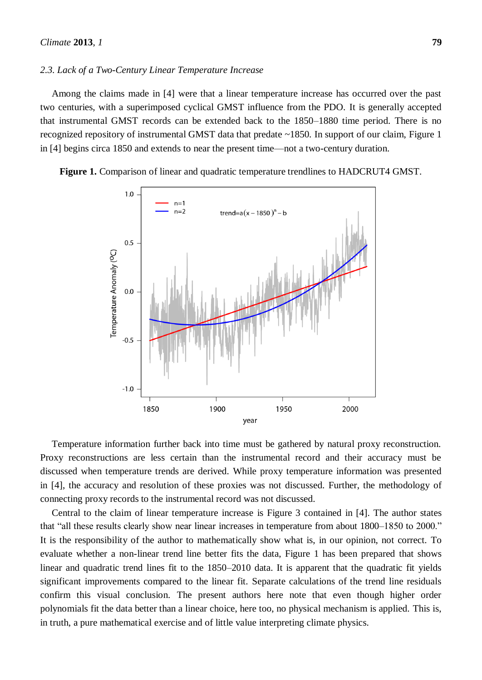#### *2.3. Lack of a Two-Century Linear Temperature Increase*

Among the claims made in [4] were that a linear temperature increase has occurred over the past two centuries, with a superimposed cyclical GMST influence from the PDO. It is generally accepted that instrumental GMST records can be extended back to the 1850–1880 time period. There is no recognized repository of instrumental GMST data that predate ~1850. In support of our claim, Figure 1 in [4] begins circa 1850 and extends to near the present time—not a two-century duration.





Temperature information further back into time must be gathered by natural proxy reconstruction. Proxy reconstructions are less certain than the instrumental record and their accuracy must be discussed when temperature trends are derived. While proxy temperature information was presented in [4], the accuracy and resolution of these proxies was not discussed. Further, the methodology of connecting proxy records to the instrumental record was not discussed.

Central to the claim of linear temperature increase is Figure 3 contained in [4]. The author states that "all these results clearly show near linear increases in temperature from about 1800–1850 to 2000." It is the responsibility of the author to mathematically show what is, in our opinion, not correct. To evaluate whether a non-linear trend line better fits the data, Figure 1 has been prepared that shows linear and quadratic trend lines fit to the 1850–2010 data. It is apparent that the quadratic fit yields significant improvements compared to the linear fit. Separate calculations of the trend line residuals confirm this visual conclusion. The present authors here note that even though higher order polynomials fit the data better than a linear choice, here too, no physical mechanism is applied. This is, in truth, a pure mathematical exercise and of little value interpreting climate physics.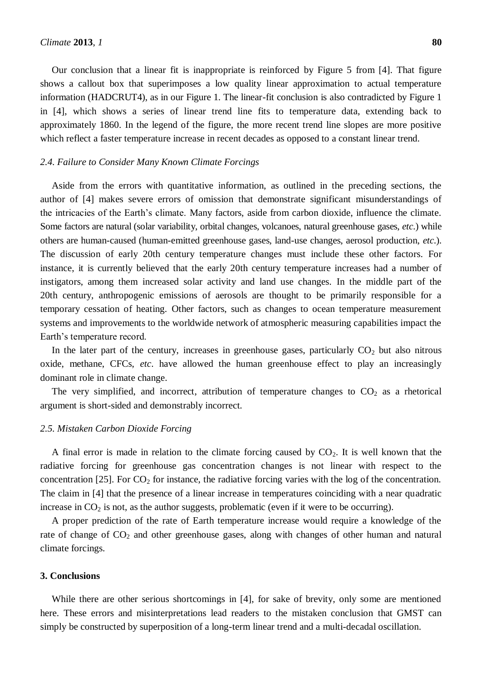Our conclusion that a linear fit is inappropriate is reinforced by Figure 5 from [4]. That figure shows a callout box that superimposes a low quality linear approximation to actual temperature information (HADCRUT4), as in our Figure 1. The linear-fit conclusion is also contradicted by Figure 1 in [4], which shows a series of linear trend line fits to temperature data, extending back to approximately 1860. In the legend of the figure, the more recent trend line slopes are more positive which reflect a faster temperature increase in recent decades as opposed to a constant linear trend.

# *2.4. Failure to Consider Many Known Climate Forcings*

Aside from the errors with quantitative information, as outlined in the preceding sections, the author of [4] makes severe errors of omission that demonstrate significant misunderstandings of the intricacies of the Earth's climate. Many factors, aside from carbon dioxide, influence the climate. Some factors are natural (solar variability, orbital changes, volcanoes, natural greenhouse gases, *etc*.) while others are human-caused (human-emitted greenhouse gases, land-use changes, aerosol production, *etc*.). The discussion of early 20th century temperature changes must include these other factors. For instance, it is currently believed that the early 20th century temperature increases had a number of instigators, among them increased solar activity and land use changes. In the middle part of the 20th century, anthropogenic emissions of aerosols are thought to be primarily responsible for a temporary cessation of heating. Other factors, such as changes to ocean temperature measurement systems and improvements to the worldwide network of atmospheric measuring capabilities impact the Earth's temperature record.

In the later part of the century, increases in greenhouse gases, particularly  $CO<sub>2</sub>$  but also nitrous oxide, methane, CFCs, *etc*. have allowed the human greenhouse effect to play an increasingly dominant role in climate change.

The very simplified, and incorrect, attribution of temperature changes to  $CO<sub>2</sub>$  as a rhetorical argument is short-sided and demonstrably incorrect.

# *2.5. Mistaken Carbon Dioxide Forcing*

A final error is made in relation to the climate forcing caused by  $CO<sub>2</sub>$ . It is well known that the radiative forcing for greenhouse gas concentration changes is not linear with respect to the concentration [25]. For  $CO<sub>2</sub>$  for instance, the radiative forcing varies with the log of the concentration. The claim in [4] that the presence of a linear increase in temperatures coinciding with a near quadratic increase in  $CO<sub>2</sub>$  is not, as the author suggests, problematic (even if it were to be occurring).

A proper prediction of the rate of Earth temperature increase would require a knowledge of the rate of change of  $CO<sub>2</sub>$  and other greenhouse gases, along with changes of other human and natural climate forcings.

# **3. Conclusions**

While there are other serious shortcomings in [4], for sake of brevity, only some are mentioned here. These errors and misinterpretations lead readers to the mistaken conclusion that GMST can simply be constructed by superposition of a long-term linear trend and a multi-decadal oscillation.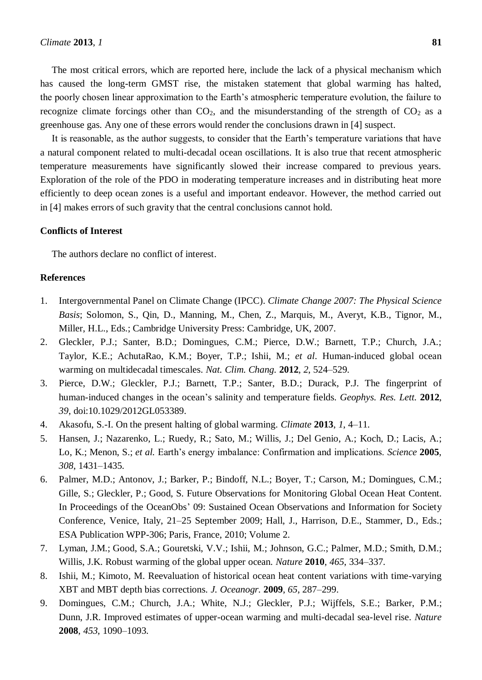The most critical errors, which are reported here, include the lack of a physical mechanism which has caused the long-term GMST rise, the mistaken statement that global warming has halted, the poorly chosen linear approximation to the Earth's atmospheric temperature evolution, the failure to recognize climate forcings other than  $CO<sub>2</sub>$ , and the misunderstanding of the strength of  $CO<sub>2</sub>$  as a greenhouse gas. Any one of these errors would render the conclusions drawn in [4] suspect.

It is reasonable, as the author suggests, to consider that the Earth's temperature variations that have a natural component related to multi-decadal ocean oscillations. It is also true that recent atmospheric temperature measurements have significantly slowed their increase compared to previous years. Exploration of the role of the PDO in moderating temperature increases and in distributing heat more efficiently to deep ocean zones is a useful and important endeavor. However, the method carried out in [4] makes errors of such gravity that the central conclusions cannot hold.

# **Conflicts of Interest**

The authors declare no conflict of interest.

# **References**

- 1. Intergovernmental Panel on Climate Change (IPCC). *Climate Change 2007: The Physical Science Basis*; Solomon, S., Qin, D., Manning, M., Chen, Z., Marquis, M., Averyt, K.B., Tignor, M., Miller, H.L., Eds.; Cambridge University Press: Cambridge, UK, 2007.
- 2. Gleckler, P.J.; Santer, B.D.; Domingues, C.M.; Pierce, D.W.; Barnett, T.P.; Church, J.A.; Taylor, K.E.; AchutaRao, K.M.; Boyer, T.P.; Ishii, M.; *et al*. Human-induced global ocean warming on multidecadal timescales. *Nat. Clim. Chang.* **2012**, *2*, 524–529.
- 3. Pierce, D.W.; Gleckler, P.J.; Barnett, T.P.; Santer, B.D.; Durack, P.J. The fingerprint of human-induced changes in the ocean's salinity and temperature fields. *Geophys. Res. Lett.* **2012**, *39*, doi:10.1029/2012GL053389.
- 4. Akasofu, S.-I. On the present halting of global warming. *Climate* **2013**, *1*, 4–11.
- 5. Hansen, J.; Nazarenko, L.; Ruedy, R.; Sato, M.; Willis, J.; Del Genio, A.; Koch, D.; Lacis, A.; Lo, K.; Menon, S.; *et al.* Earth's energy imbalance: Confirmation and implications. *Science* **2005**, *308*, 1431–1435.
- 6. Palmer, M.D.; Antonov, J.; Barker, P.; Bindoff, N.L.; Boyer, T.; Carson, M.; Domingues, C.M.; Gille, S.; Gleckler, P.; Good, S. Future Observations for Monitoring Global Ocean Heat Content. In Proceedings of the OceanObs' 09: Sustained Ocean Observations and Information for Society Conference, Venice, Italy, 21–25 September 2009; Hall, J., Harrison, D.E., Stammer, D., Eds.; ESA Publication WPP-306; Paris, France, 2010; Volume 2.
- 7. Lyman, J.M.; Good, S.A.; Gouretski, V.V.; Ishii, M.; Johnson, G.C.; Palmer, M.D.; Smith, D.M.; Willis, J.K. Robust warming of the global upper ocean. *Nature* **2010**, *465*, 334–337.
- 8. Ishii, M.; Kimoto, M. Reevaluation of historical ocean heat content variations with time-varying XBT and MBT depth bias corrections. *J. Oceanogr.* **2009**, *65*, 287–299.
- 9. Domingues, C.M.; Church, J.A.; White, N.J.; Gleckler, P.J.; Wijffels, S.E.; Barker, P.M.; Dunn, J.R. Improved estimates of upper-ocean warming and multi-decadal sea-level rise. *Nature* **2008**, *453*, 1090–1093.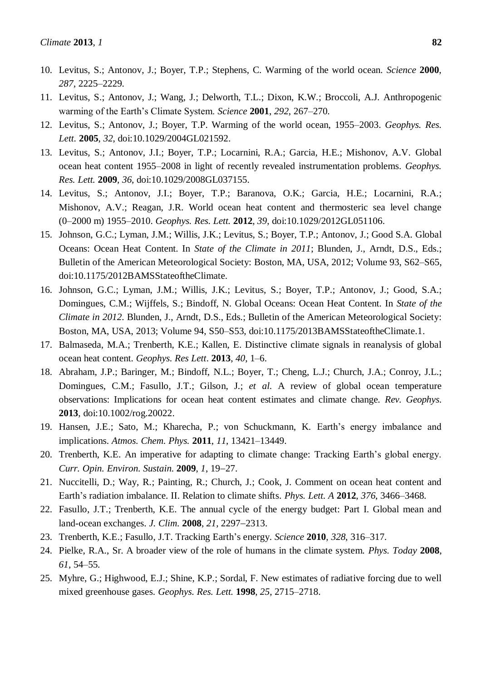- 10. Levitus, S.; Antonov, J.; Boyer, T.P.; Stephens, C. Warming of the world ocean. *Science* **2000**, *287*, 2225–2229.
- 11. Levitus, S.; Antonov, J.; Wang, J.; Delworth, T.L.; Dixon, K.W.; Broccoli, A.J. Anthropogenic warming of the Earth's Climate System. *Science* **2001**, *292*, 267–270.
- 12. Levitus, S.; Antonov, J.; Boyer, T.P. Warming of the world ocean, 1955–2003. *Geophys. Res. Lett.* **2005**, *32*, doi:10.1029/2004GL021592.
- 13. Levitus, S.; Antonov, J.I.; Boyer, T.P.; Locarnini, R.A.; Garcia, H.E.; Mishonov, A.V. Global ocean heat content 1955–2008 in light of recently revealed instrumentation problems. *Geophys. Res. Lett.* **2009**, *36*, doi:10.1029/2008GL037155.
- 14. Levitus, S.; Antonov, J.I.; Boyer, T.P.; Baranova, O.K.; Garcia, H.E.; Locarnini, R.A.; Mishonov, A.V.; Reagan, J.R. World ocean heat content and thermosteric sea level change (0–2000 m) 1955–2010. *Geophys. Res. Lett.* **2012**, *39*, doi:10.1029/2012GL051106.
- 15. Johnson, G.C.; Lyman, J.M.; Willis, J.K.; Levitus, S.; Boyer, T.P.; Antonov, J.; Good S.A. Global Oceans: Ocean Heat Content. In *State of the Climate in 2011*; Blunden, J., Arndt, D.S., Eds.; Bulletin of the American Meteorological Society: Boston, MA, USA, 2012; Volume 93, S62–S65, doi:10.1175/2012BAMSStateoftheClimate.
- 16. Johnson, G.C.; Lyman, J.M.; Willis, J.K.; Levitus, S.; Boyer, T.P.; Antonov, J.; Good, S.A.; Domingues, C.M.; Wijffels, S.; Bindoff, N. Global Oceans: Ocean Heat Content. In *State of the Climate in 2012*. Blunden, J., Arndt, D.S., Eds.; Bulletin of the American Meteorological Society: Boston, MA, USA, 2013; Volume 94, S50–S53, doi:10.1175/2013BAMSStateoftheClimate.1.
- 17. Balmaseda, M.A.; Trenberth, K.E.; Kallen, E. Distinctive climate signals in reanalysis of global ocean heat content. *Geophys. Res Lett*. **2013**, *40*, 1–6.
- 18. Abraham, J.P.; Baringer, M.; Bindoff, N.L.; Boyer, T.; Cheng, L.J.; Church, J.A.; Conroy, J.L.; Domingues, C.M.; Fasullo, J.T.; Gilson, J.; *et al*. A review of global ocean temperature observations: Implications for ocean heat content estimates and climate change. *Rev. Geophys.* **2013**, doi:10.1002/rog.20022.
- 19. Hansen, J.E.; Sato, M.; Kharecha, P.; von Schuckmann, K. Earth's energy imbalance and implications. *Atmos. Chem. Phys.* **2011**, *11*, 13421–13449.
- 20. Trenberth, K.E. An imperative for adapting to climate change: Tracking Earth's global energy. *Curr. Opin. Environ. Sustain.* **2009**, *1*, 19-27.
- 21. Nuccitelli, D.; Way, R.; Painting, R.; Church, J.; Cook, J. Comment on ocean heat content and Earth's radiation imbalance. II. Relation to climate shifts. *Phys. Lett. A* **2012**, *376*, 3466–3468.
- 22. Fasullo, J.T.; Trenberth, K.E. The annual cycle of the energy budget: Part I. Global mean and land-ocean exchanges. *J. Clim.* **2008**, 21, 2297–2313.
- 23. Trenberth, K.E.; Fasullo, J.T. Tracking Earth's energy. *Science* **2010**, *328*, 316–317.
- 24. Pielke, R.A., Sr. A broader view of the role of humans in the climate system. *Phys. Today* **2008**, *61*, 54–55.
- 25. Myhre, G.; Highwood, E.J.; Shine, K.P.; Sordal, F. New estimates of radiative forcing due to well mixed greenhouse gases. *Geophys. Res. Lett.* **1998**, *25*, 2715–2718.